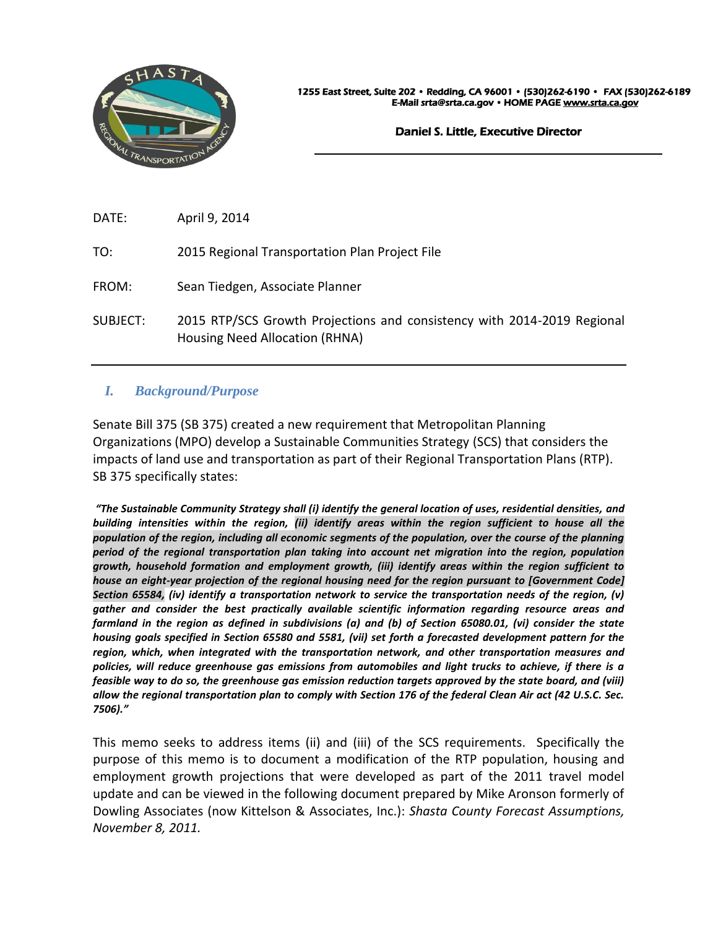

Daniel S. Little, Executive Director

 $\overline{a}$ 

DATE: April 9, 2014

TO: 2015 Regional Transportation Plan Project File

FROM: Sean Tiedgen, Associate Planner

SUBJECT: 2015 RTP/SCS Growth Projections and consistency with 2014-2019 Regional Housing Need Allocation (RHNA)

# *I. Background/Purpose*

Senate Bill 375 (SB 375) created a new requirement that Metropolitan Planning Organizations (MPO) develop a Sustainable Communities Strategy (SCS) that considers the impacts of land use and transportation as part of their Regional Transportation Plans (RTP). SB 375 specifically states:

*"The Sustainable Community Strategy shall (i) identify the general location of uses, residential densities, and building intensities within the region, (ii) identify areas within the region sufficient to house all the population of the region, including all economic segments of the population, over the course of the planning period of the regional transportation plan taking into account net migration into the region, population growth, household formation and employment growth, (iii) identify areas within the region sufficient to house an eight-year projection of the regional housing need for the region pursuant to [Government Code] Section 65584, (iv) identify a transportation network to service the transportation needs of the region, (v) gather and consider the best practically available scientific information regarding resource areas and farmland in the region as defined in subdivisions (a) and (b) of Section 65080.01, (vi) consider the state housing goals specified in Section 65580 and 5581, (vii) set forth a forecasted development pattern for the region, which, when integrated with the transportation network, and other transportation measures and policies, will reduce greenhouse gas emissions from automobiles and light trucks to achieve, if there is a feasible way to do so, the greenhouse gas emission reduction targets approved by the state board, and (viii) allow the regional transportation plan to comply with Section 176 of the federal Clean Air act (42 U.S.C. Sec. 7506)."*

This memo seeks to address items (ii) and (iii) of the SCS requirements. Specifically the purpose of this memo is to document a modification of the RTP population, housing and employment growth projections that were developed as part of the 2011 travel model update and can be viewed in the following document prepared by Mike Aronson formerly of Dowling Associates (now Kittelson & Associates, Inc.): *Shasta County Forecast Assumptions, November 8, 2011.*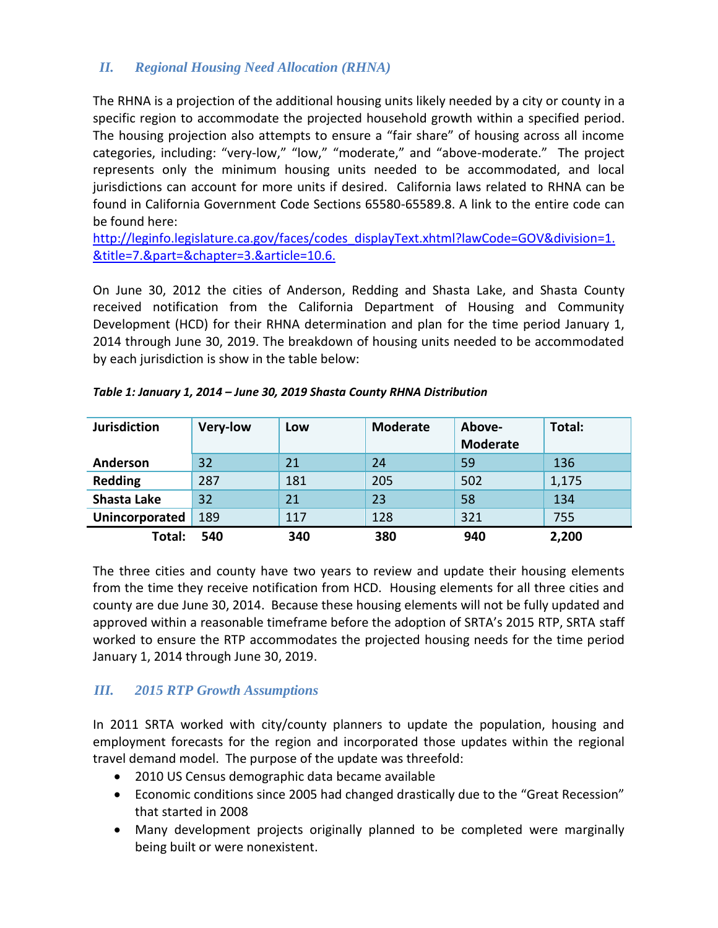# *II. Regional Housing Need Allocation (RHNA)*

The RHNA is a projection of the additional housing units likely needed by a city or county in a specific region to accommodate the projected household growth within a specified period. The housing projection also attempts to ensure a "fair share" of housing across all income categories, including: "very-low," "low," "moderate," and "above-moderate." The project represents only the minimum housing units needed to be accommodated, and local jurisdictions can account for more units if desired. California laws related to RHNA can be found in California Government Code Sections 65580-65589.8. A link to the entire code can be found here:

[http://leginfo.legislature.ca.gov/faces/codes\\_displayText.xhtml?lawCode=GOV&division=1.](http://leginfo.legislature.ca.gov/faces/codes_displayText.xhtml?lawCode=GOV&division=1.&title=7.&part=&chapter=3.&article=10.6.) [&title=7.&part=&chapter=3.&article=10.6.](http://leginfo.legislature.ca.gov/faces/codes_displayText.xhtml?lawCode=GOV&division=1.&title=7.&part=&chapter=3.&article=10.6.)

On June 30, 2012 the cities of Anderson, Redding and Shasta Lake, and Shasta County received notification from the California Department of Housing and Community Development (HCD) for their RHNA determination and plan for the time period January 1, 2014 through June 30, 2019. The breakdown of housing units needed to be accommodated by each jurisdiction is show in the table below:

| <b>Jurisdiction</b> | <b>Very-low</b> | Low | <b>Moderate</b> | Above-<br><b>Moderate</b> | Total: |
|---------------------|-----------------|-----|-----------------|---------------------------|--------|
| Anderson            | 32              | 21  | 24              | 59                        | 136    |
| <b>Redding</b>      | 287             | 181 | 205             | 502                       | 1,175  |
| <b>Shasta Lake</b>  | 32              | 21  | 23              | 58                        | 134    |
| Unincorporated      | 189             | 117 | 128             | 321                       | 755    |
| Total:              | 540             | 340 | 380             | 940                       | 2,200  |

The three cities and county have two years to review and update their housing elements from the time they receive notification from HCD. Housing elements for all three cities and county are due June 30, 2014. Because these housing elements will not be fully updated and approved within a reasonable timeframe before the adoption of SRTA's 2015 RTP, SRTA staff worked to ensure the RTP accommodates the projected housing needs for the time period January 1, 2014 through June 30, 2019.

## *III. 2015 RTP Growth Assumptions*

In 2011 SRTA worked with city/county planners to update the population, housing and employment forecasts for the region and incorporated those updates within the regional travel demand model. The purpose of the update was threefold:

- 2010 US Census demographic data became available
- Economic conditions since 2005 had changed drastically due to the "Great Recession" that started in 2008
- Many development projects originally planned to be completed were marginally being built or were nonexistent.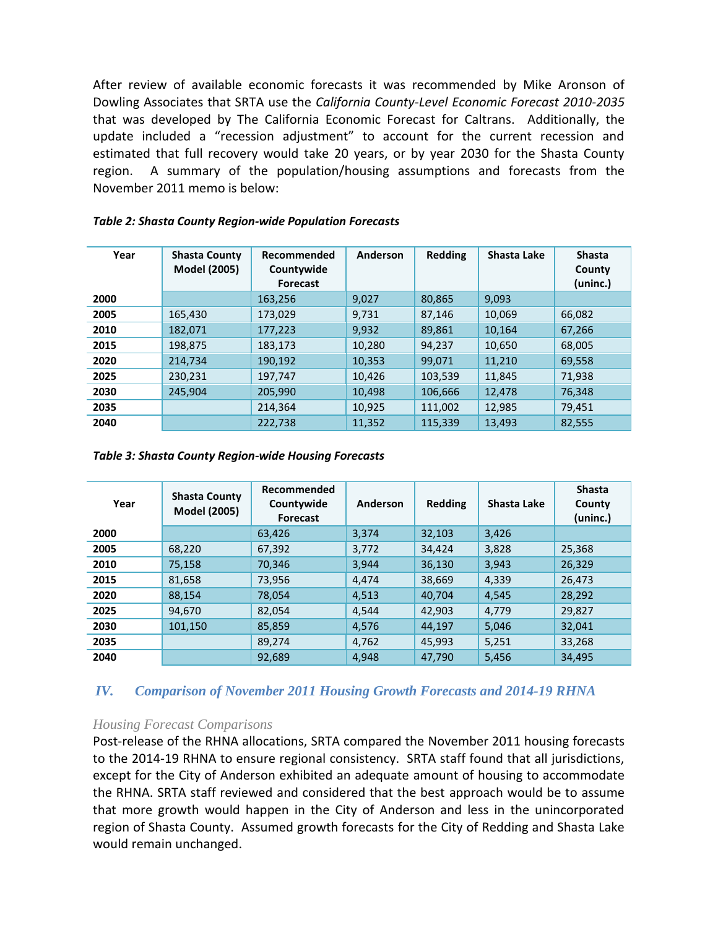After review of available economic forecasts it was recommended by Mike Aronson of Dowling Associates that SRTA use the *California County-Level Economic Forecast 2010-2035* that was developed by The California Economic Forecast for Caltrans. Additionally, the update included a "recession adjustment" to account for the current recession and estimated that full recovery would take 20 years, or by year 2030 for the Shasta County region. A summary of the population/housing assumptions and forecasts from the November 2011 memo is below:

| Year | <b>Shasta County</b><br><b>Model (2005)</b> | Recommended<br>Countywide<br><b>Forecast</b> | Anderson | <b>Redding</b> | Shasta Lake | <b>Shasta</b><br>County<br>(uninc.) |
|------|---------------------------------------------|----------------------------------------------|----------|----------------|-------------|-------------------------------------|
| 2000 |                                             | 163,256                                      | 9,027    | 80,865         | 9,093       |                                     |
| 2005 | 165,430                                     | 173.029                                      | 9.731    | 87.146         | 10.069      | 66,082                              |
| 2010 | 182,071                                     | 177,223                                      | 9,932    | 89,861         | 10.164      | 67,266                              |
| 2015 | 198,875                                     | 183,173                                      | 10,280   | 94,237         | 10,650      | 68,005                              |
| 2020 | 214,734                                     | 190,192                                      | 10,353   | 99,071         | 11,210      | 69,558                              |
| 2025 | 230,231                                     | 197,747                                      | 10,426   | 103,539        | 11,845      | 71,938                              |
| 2030 | 245.904                                     | 205,990                                      | 10,498   | 106,666        | 12,478      | 76,348                              |
| 2035 |                                             | 214,364                                      | 10,925   | 111,002        | 12,985      | 79,451                              |
| 2040 |                                             | 222,738                                      | 11,352   | 115,339        | 13,493      | 82,555                              |

#### *Table 2: Shasta County Region-wide Population Forecasts*

#### *Table 3: Shasta County Region-wide Housing Forecasts*

| Year | <b>Shasta County</b><br>Model (2005) | Recommended<br>Countywide<br><b>Forecast</b> | Anderson | <b>Redding</b> | Shasta Lake | <b>Shasta</b><br>County<br>(uninc.) |
|------|--------------------------------------|----------------------------------------------|----------|----------------|-------------|-------------------------------------|
| 2000 |                                      | 63,426                                       | 3,374    | 32,103         | 3,426       |                                     |
| 2005 | 68,220                               | 67,392                                       | 3,772    | 34,424         | 3,828       | 25,368                              |
| 2010 | 75,158                               | 70,346                                       | 3.944    | 36,130         | 3,943       | 26.329                              |
| 2015 | 81,658                               | 73,956                                       | 4,474    | 38,669         | 4,339       | 26,473                              |
| 2020 | 88,154                               | 78,054                                       | 4,513    | 40,704         | 4,545       | 28,292                              |
| 2025 | 94.670                               | 82,054                                       | 4,544    | 42,903         | 4,779       | 29,827                              |
| 2030 | 101,150                              | 85,859                                       | 4,576    | 44,197         | 5,046       | 32,041                              |
| 2035 |                                      | 89.274                                       | 4.762    | 45,993         | 5,251       | 33,268                              |
| 2040 |                                      | 92.689                                       | 4.948    | 47,790         | 5,456       | 34,495                              |

## *IV. Comparison of November 2011 Housing Growth Forecasts and 2014-19 RHNA*

## *Housing Forecast Comparisons*

Post-release of the RHNA allocations, SRTA compared the November 2011 housing forecasts to the 2014-19 RHNA to ensure regional consistency. SRTA staff found that all jurisdictions, except for the City of Anderson exhibited an adequate amount of housing to accommodate the RHNA. SRTA staff reviewed and considered that the best approach would be to assume that more growth would happen in the City of Anderson and less in the unincorporated region of Shasta County. Assumed growth forecasts for the City of Redding and Shasta Lake would remain unchanged.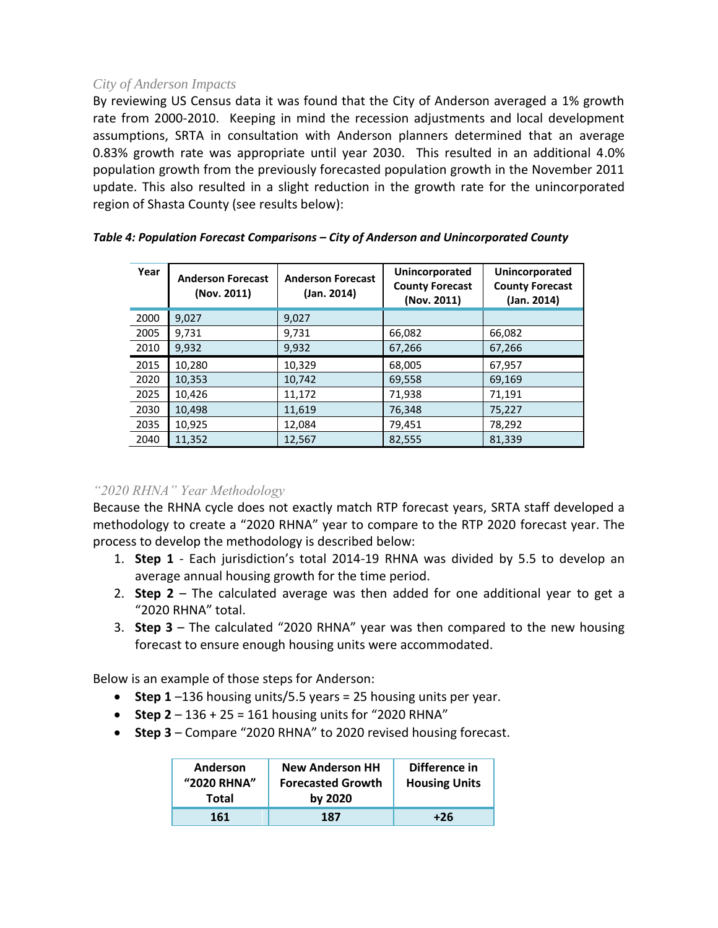## *City of Anderson Impacts*

By reviewing US Census data it was found that the City of Anderson averaged a 1% growth rate from 2000-2010. Keeping in mind the recession adjustments and local development assumptions, SRTA in consultation with Anderson planners determined that an average 0.83% growth rate was appropriate until year 2030. This resulted in an additional 4.0% population growth from the previously forecasted population growth in the November 2011 update. This also resulted in a slight reduction in the growth rate for the unincorporated region of Shasta County (see results below):

| Year | <b>Anderson Forecast</b><br>(Nov. 2011) | <b>Anderson Forecast</b><br>(Jan. 2014) | Unincorporated<br><b>County Forecast</b><br>(Nov. 2011) | Unincorporated<br><b>County Forecast</b><br>(Jan. 2014) |
|------|-----------------------------------------|-----------------------------------------|---------------------------------------------------------|---------------------------------------------------------|
| 2000 | 9,027                                   | 9,027                                   |                                                         |                                                         |
| 2005 | 9,731                                   | 9,731                                   | 66,082                                                  | 66,082                                                  |
| 2010 | 9,932                                   | 9,932                                   | 67,266                                                  | 67,266                                                  |
| 2015 | 10,280                                  | 10,329                                  | 68,005                                                  | 67,957                                                  |
| 2020 | 10,353                                  | 10,742                                  | 69,558                                                  | 69,169                                                  |
| 2025 | 10,426                                  | 11,172                                  | 71,938                                                  | 71,191                                                  |
| 2030 | 10,498                                  | 11.619                                  | 76,348                                                  | 75,227                                                  |
| 2035 | 10,925                                  | 12,084                                  | 79,451                                                  | 78,292                                                  |
| 2040 | 11,352                                  | 12,567                                  | 82,555                                                  | 81,339                                                  |

### *Table 4: Population Forecast Comparisons – City of Anderson and Unincorporated County*

## *"2020 RHNA" Year Methodology*

Because the RHNA cycle does not exactly match RTP forecast years, SRTA staff developed a methodology to create a "2020 RHNA" year to compare to the RTP 2020 forecast year. The process to develop the methodology is described below:

- 1. **Step 1** Each jurisdiction's total 2014-19 RHNA was divided by 5.5 to develop an average annual housing growth for the time period.
- 2. **Step 2** The calculated average was then added for one additional year to get a "2020 RHNA" total.
- 3. **Step 3** The calculated "2020 RHNA" year was then compared to the new housing forecast to ensure enough housing units were accommodated.

Below is an example of those steps for Anderson:

- **Step 1** –136 housing units/5.5 years = 25 housing units per year.
- **Step 2** 136 + 25 = 161 housing units for "2020 RHNA"
- **Step 3** Compare "2020 RHNA" to 2020 revised housing forecast.

| Anderson<br>"2020 RHNA" | <b>New Anderson HH</b><br><b>Forecasted Growth</b> | Difference in<br><b>Housing Units</b> |
|-------------------------|----------------------------------------------------|---------------------------------------|
| Total                   | by 2020                                            |                                       |
| 161                     | 187                                                | +26                                   |